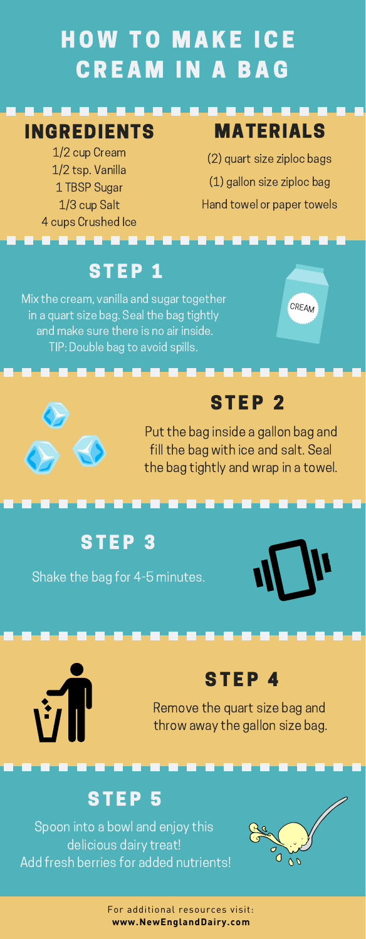# **HOW TO MAKE ICE** OW TO MAKE ICE<br>CREAM IN A BAG

#### INGREDIENTS

1/2 cup Cream 1/2 tsp. Vanilla 1 TBSP Sugar 1/3 cup Salt 1 TBSP Sugar<br>1/3 cup Salt<br>4 cups Crushed Ice

#### MATERIALS MATERIALS<br>(2) quart size ziploc bags

(2) quart size ziploc bags<br>(1) gallon size ziploc bag (1) gallon size ziploc bag<br>Hand towel or paper towels

# s s s s e e<br>S TEP 1

Mix the cream, vanilla and sugar together in a quart size bag. Seal the bag tightly in a quart size bag. Seal the bag tightly and make sure there is no air inside.<br>TIP: Double bag to avoid spills.





#### **STEP 2**

**STEP 2**<br>Put the bag inside a gallon bag and ,<br>'ut the bag inside a gallon bag and<br>fill the bag with ice and salt. Seal fill the bag with ice and salt. Seal the bag tightly and wrap in a towel.

#### STEP<sub>3</sub>

Shake the bag for 4-5 minutes.





#### STEP 4

**STEP 4**<br>Remove the quart size bag and Remove the quart size bag and<br>throw away the gallon size bag.

#### **STEP 5**

Spoon into a bowl and enjoy this delicious dairy treat! Add fresh berries for added nutrients!



For additional resources visit: **[www.NewEnglandDairy.com](www.newenglanddairy.com)**